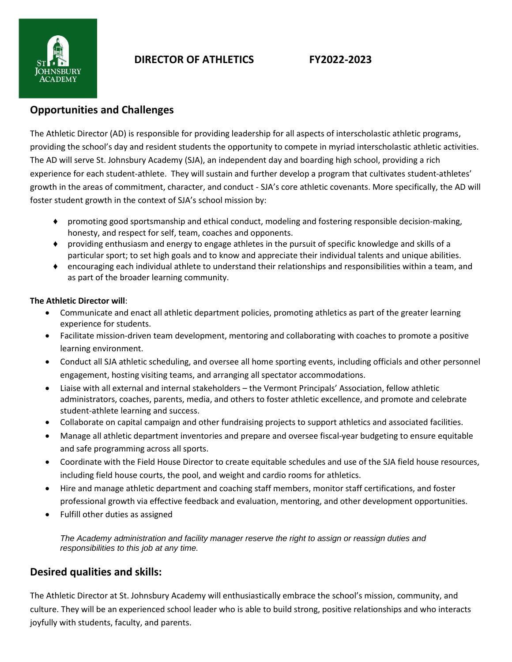

# **DIRECTOR OF ATHLETICS FY2022-2023**

## **Opportunities and Challenges**

The Athletic Director (AD) is responsible for providing leadership for all aspects of interscholastic athletic programs, providing the school's day and resident students the opportunity to compete in myriad interscholastic athletic activities. The AD will serve St. Johnsbury Academy (SJA), an independent day and boarding high school, providing a rich experience for each student-athlete. They will sustain and further develop a program that cultivates student-athletes' growth in the areas of commitment, character, and conduct - SJA's core athletic covenants. More specifically, the AD will foster student growth in the context of SJA's school mission by:

- ♦ promoting good sportsmanship and ethical conduct, modeling and fostering responsible decision-making, honesty, and respect for self, team, coaches and opponents.
- ♦ providing enthusiasm and energy to engage athletes in the pursuit of specific knowledge and skills of a particular sport; to set high goals and to know and appreciate their individual talents and unique abilities.
- ♦ encouraging each individual athlete to understand their relationships and responsibilities within a team, and as part of the broader learning community.

## **The Athletic Director will**:

- Communicate and enact all athletic department policies, promoting athletics as part of the greater learning experience for students.
- Facilitate mission-driven team development, mentoring and collaborating with coaches to promote a positive learning environment.
- Conduct all SJA athletic scheduling, and oversee all home sporting events, including officials and other personnel engagement, hosting visiting teams, and arranging all spectator accommodations.
- Liaise with all external and internal stakeholders the Vermont Principals' Association, fellow athletic administrators, coaches, parents, media, and others to foster athletic excellence, and promote and celebrate student-athlete learning and success.
- Collaborate on capital campaign and other fundraising projects to support athletics and associated facilities.
- Manage all athletic department inventories and prepare and oversee fiscal-year budgeting to ensure equitable and safe programming across all sports.
- Coordinate with the Field House Director to create equitable schedules and use of the SJA field house resources, including field house courts, the pool, and weight and cardio rooms for athletics.
- Hire and manage athletic department and coaching staff members, monitor staff certifications, and foster professional growth via effective feedback and evaluation, mentoring, and other development opportunities.
- Fulfill other duties as assigned

*The Academy administration and facility manager reserve the right to assign or reassign duties and responsibilities to this job at any time.*

## **Desired qualities and skills:**

The Athletic Director at St. Johnsbury Academy will enthusiastically embrace the school's mission, community, and culture. They will be an experienced school leader who is able to build strong, positive relationships and who interacts joyfully with students, faculty, and parents.